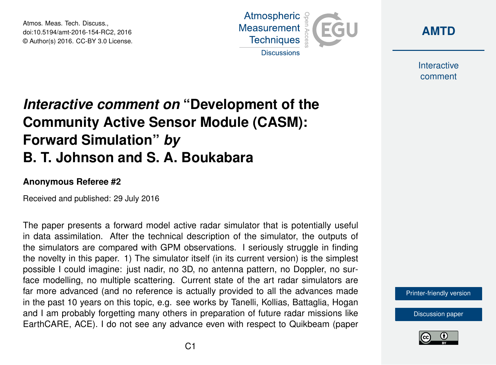Atmos. Meas. Tech. Discuss., doi:10.5194/amt-2016-154-RC2, 2016 © Author(s) 2016. CC-BY 3.0 License.





Interactive comment

## *Interactive comment on* **"Development of the Community Active Sensor Module (CASM): Forward Simulation"** *by* **B. T. Johnson and S. A. Boukabara**

## **Anonymous Referee #2**

Received and published: 29 July 2016

The paper presents a forward model active radar simulator that is potentially useful in data assimilation. After the technical description of the simulator, the outputs of the simulators are compared with GPM observations. I seriously struggle in finding the novelty in this paper. 1) The simulator itself (in its current version) is the simplest possible I could imagine: just nadir, no 3D, no antenna pattern, no Doppler, no surface modelling, no multiple scattering. Current state of the art radar simulators are far more advanced (and no reference is actually provided to all the advances made in the past 10 years on this topic, e.g. see works by Tanelli, Kollias, Battaglia, Hogan and I am probably forgetting many others in preparation of future radar missions like EarthCARE, ACE). I do not see any advance even with respect to Quikbeam (paper

[Printer-friendly version](http://www.atmos-meas-tech-discuss.net/amt-2016-154/amt-2016-154-RC2-print.pdf)

[Discussion paper](http://www.atmos-meas-tech-discuss.net/amt-2016-154)

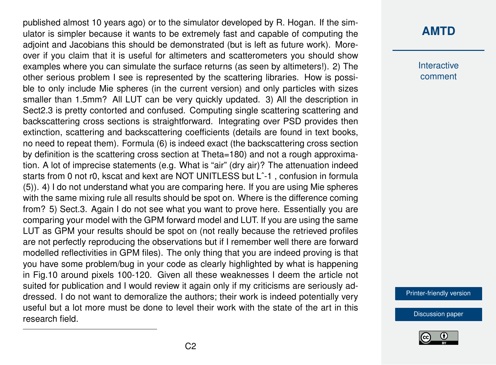published almost 10 years ago) or to the simulator developed by R. Hogan. If the simulator is simpler because it wants to be extremely fast and capable of computing the adjoint and Jacobians this should be demonstrated (but is left as future work). Moreover if you claim that it is useful for altimeters and scatterometers you should show examples where you can simulate the surface returns (as seen by altimeters!). 2) The other serious problem I see is represented by the scattering libraries. How is possible to only include Mie spheres (in the current version) and only particles with sizes smaller than 1.5mm? All LUT can be very quickly updated. 3) All the description in Sect2.3 is pretty contorted and confused. Computing single scattering scattering and backscattering cross sections is straightforward. Integrating over PSD provides then extinction, scattering and backscattering coefficients (details are found in text books, no need to repeat them). Formula (6) is indeed exact (the backscattering cross section by definition is the scattering cross section at Theta=180) and not a rough approximation. A lot of imprecise statements (e.g. What is "air" (dry air)? The attenuation indeed starts from 0 not r0, kscat and kext are NOT UNITLESS but Lˆ-1 , confusion in formula (5)). 4) I do not understand what you are comparing here. If you are using Mie spheres with the same mixing rule all results should be spot on. Where is the difference coming from? 5) Sect.3. Again I do not see what you want to prove here. Essentially you are comparing your model with the GPM forward model and LUT. If you are using the same LUT as GPM your results should be spot on (not really because the retrieved profiles are not perfectly reproducing the observations but if I remember well there are forward modelled reflectivities in GPM files). The only thing that you are indeed proving is that you have some problem/bug in your code as clearly highlighted by what is happening in Fig.10 around pixels 100-120. Given all these weaknesses I deem the article not suited for publication and I would review it again only if my criticisms are seriously addressed. I do not want to demoralize the authors; their work is indeed potentially very useful but a lot more must be done to level their work with the state of the art in this research field.

## **[AMTD](http://www.atmos-meas-tech-discuss.net/)**

**Interactive** comment

[Printer-friendly version](http://www.atmos-meas-tech-discuss.net/amt-2016-154/amt-2016-154-RC2-print.pdf)

[Discussion paper](http://www.atmos-meas-tech-discuss.net/amt-2016-154)